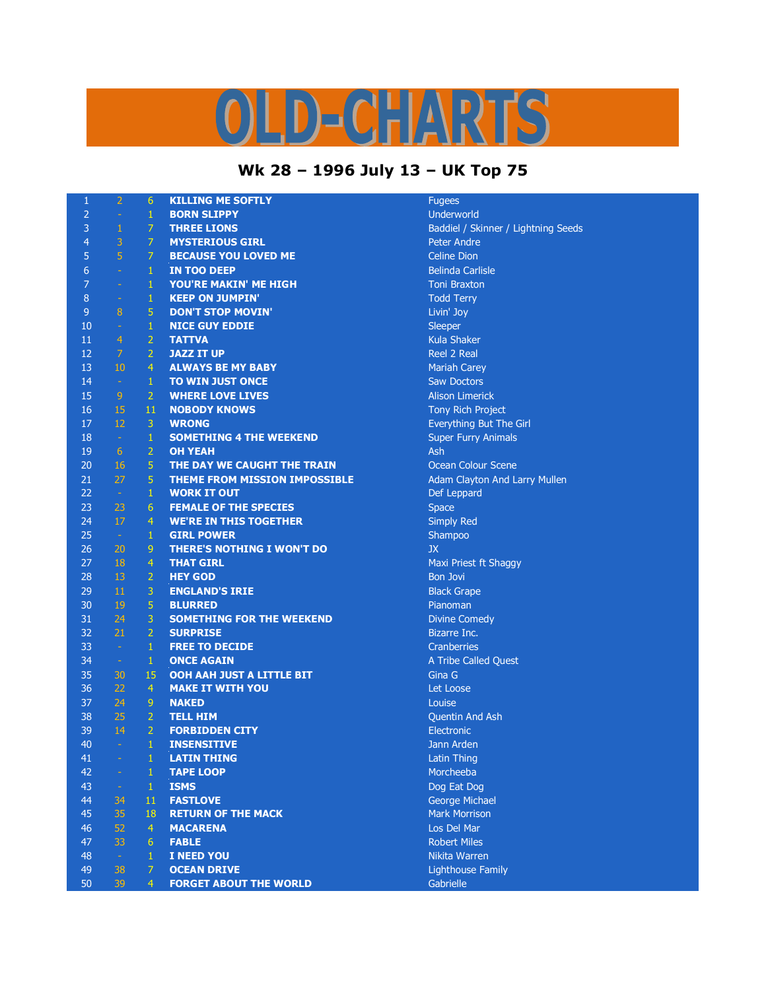## $D = C \cdot \frac{1}{2} \sqrt{N^2}$ K

## **Wk 28 – 1996 July 13 – UK Top 75**

| 1              | $\overline{2}$  | 6               | <b>KILLING ME SOFTLY</b>          | <b>Fugees</b>    |
|----------------|-----------------|-----------------|-----------------------------------|------------------|
| $\overline{2}$ | $\omega$        | $1^{\circ}$     | <b>BORN SLIPPY</b>                | Underwo          |
| $\overline{3}$ | $\mathbf{1}$    | $7 -$           | <b>THREE LIONS</b>                | Baddiel /        |
| $\overline{4}$ | 3               | 7 <sup>1</sup>  | <b>MYSTERIOUS GIRL</b>            | Peter An         |
| 5              | $\overline{5}$  | $\mathcal{I}$   | <b>BECAUSE YOU LOVED ME</b>       | Celine Di        |
| $\overline{6}$ | $\sim$          | $\mathbf{1}$    | <b>IN TOO DEEP</b>                | Belinda O        |
| $\overline{7}$ | $\omega$        | $\mathbf{1}$    | YOU'RE MAKIN' ME HIGH             | Toni Bra:        |
| $\overline{8}$ | $\sim$          | $\mathbf{1}$    | <b>KEEP ON JUMPIN'</b>            | <b>Todd Ter</b>  |
| $\overline{9}$ | 8               | 5               | <b>DON'T STOP MOVIN'</b>          | Livin' Joy       |
| 10             | $\sim$ .        | $\mathbf{1}$    | <b>NICE GUY EDDIE</b>             | Sleeper          |
| 11             | $\overline{4}$  | $\overline{2}$  | <b>TATTVA</b>                     | Kula Sha         |
| 12             | 7 <sup>1</sup>  | $\overline{2}$  | <b>JAZZ IT UP</b>                 | Reel 2 R         |
| 13             | 10 <sup>°</sup> | $\overline{4}$  | <b>ALWAYS BE MY BABY</b>          | Mariah C         |
| 14             | $\sim$          | $1\,$           | <b>TO WIN JUST ONCE</b>           | Saw Doc          |
| 15             | 9               | $\overline{2}$  | <b>WHERE LOVE LIVES</b>           | Alison Lir       |
| 16             | 15              | 11              | <b>NOBODY KNOWS</b>               | <b>Tony Ric</b>  |
| 17             | 12              | 3               | <b>WRONG</b>                      | Everythir        |
| 18             | $\sim$          | $\mathbf 1$     | <b>SOMETHING 4 THE WEEKEND</b>    | Super Fu         |
| 19             | 6               | $\overline{2}$  | <b>OH YEAH</b>                    | Ash              |
| 20             | 16              | $\overline{5}$  | THE DAY WE CAUGHT THE TRAIN       | Ocean Co         |
| 21             | 27              | 5               | THEME FROM MISSION IMPOSSIBLE     | Adam Cla         |
| 22             | $\sim$          | $\mathbf{1}$    | <b>WORK IT OUT</b>                | Def Lepp         |
| 23             | 23              | 6               | <b>FEMALE OF THE SPECIES</b>      | <b>Space</b>     |
| 24             | 17              | $\overline{4}$  | <b>WE'RE IN THIS TOGETHER</b>     | <b>Simply R</b>  |
| 25             | $\sim$          | $\mathbf{1}$    | <b>GIRL POWER</b>                 | Shampod          |
| 26             | 20              | 9               | <b>THERE'S NOTHING I WON'T DO</b> | <b>JX</b>        |
| 27             | 18              | $\overline{4}$  | <b>THAT GIRL</b>                  | <b>Maxi Prie</b> |
| 28             | 13              | $\overline{2}$  | <b>HEY GOD</b>                    | <b>Bon Jovi</b>  |
| 29             | 11              | 3               | <b>ENGLAND'S IRIE</b>             | <b>Black Gra</b> |
| 30             | 19              | $\overline{5}$  | <b>BLURRED</b>                    | Pianoma          |
| 31             | 24              | 3               | <b>SOMETHING FOR THE WEEKEND</b>  | Divine Co        |
| 32             | 21              | $\overline{2}$  | <b>SURPRISE</b>                   | <b>Bizarre I</b> |
| 33             | $\sim$          | $\mathbf{1}$    | <b>FREE TO DECIDE</b>             | Cranberr         |
| 34             | $\sim$          | $\mathbf{1}$    | <b>ONCE AGAIN</b>                 | A Tribe O        |
| 35             | 30              | 15              | OOH AAH JUST A LITTLE BIT         | Gina G           |
| 36             | 22              | $\overline{4}$  | <b>MAKE IT WITH YOU</b>           | Let Loos         |
| 37             | 24              | 9               | <b>NAKED</b>                      | Louise           |
| 38             | 25              | 2 <sub>1</sub>  | <b>TELL HIM</b>                   | Quentin.         |
| 39             | 14              | 2 <sup>1</sup>  | <b>FORBIDDEN CITY</b>             | Electroni        |
| 40             | $\sim$          | $\mathbf{1}$    | <b>INSENSITIVE</b>                | Jann Ard         |
| 41             |                 | $1 -$           | <b>LATIN THING</b>                | Latin Thi        |
| 42             | $\equiv$        | $\mathbf{1}$    | <b>TAPE LOOP</b>                  | Morchee          |
| 43             | $\sim$          | $\mathbf 1$     | <b>ISMS</b>                       | Dog Eat          |
| 44             | 34              | 11              | <b>FASTLOVE</b>                   | George M         |
| 45             | 35              | 18              | <b>RETURN OF THE MACK</b>         | Mark Mo          |
| 46             | 52              | $\overline{4}$  | <b>MACARENA</b>                   | Los Del I        |
| 47             | 33              | $6\phantom{.}6$ | <b>FABLE</b>                      | Robert M         |
| 48             | $\sim$          | 1               | I NEED YOU                        | Nikita Wa        |
| 49             | 38              | $\overline{7}$  | <b>OCEAN DRIVE</b>                | Lighthou         |
| 50             | 39              | $\overline{4}$  | <b>FORGET ABOUT THE WORLD</b>     | Gabrielle        |
|                |                 |                 |                                   |                  |

**Underworld** Baddiel / Skinner / Lightning Seeds Peter Andre **Celine Dion Belinda Carlisle Toni Braxton Todd Terry** Livin' Joy **Kula Shaker Reel 2 Real Mariah Carey Saw Doctors Alison Limerick Tony Rich Project** Everything But The Girl **Super Furry Animals Ocean Colour Scene** Adam Clayton And Larry Mullen Def Leppard **Simply Red** Shampoo **Maxi Priest ft Shaggy Black Grape** Pianoman **Divine Comedy Bizarre Inc. Cranberries** A Tribe Called Quest Let Loose Quentin And Ash **Electronic Jann Arden Latin Thing** Morcheeba Dog Eat Dog **George Michael Mark Morrison Los Del Mar Robert Miles Nikita Warren Lighthouse Family**